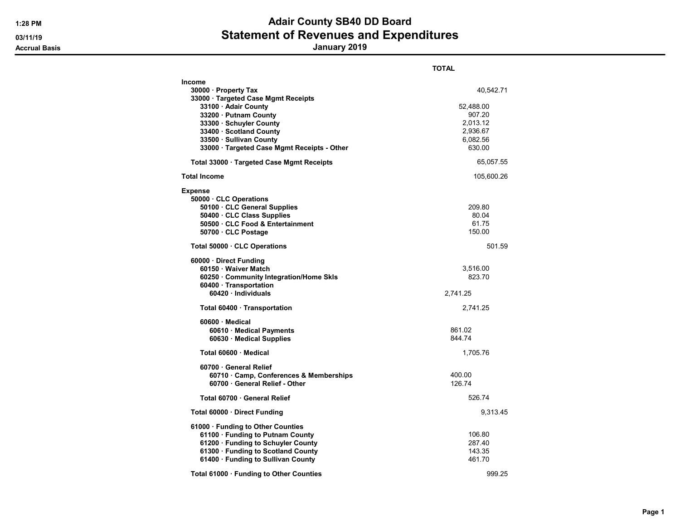|                                                                                                                                                                                                         | <b>TOTAL</b>                                                         |
|---------------------------------------------------------------------------------------------------------------------------------------------------------------------------------------------------------|----------------------------------------------------------------------|
| Income<br>30000 · Property Tax<br>33000 · Targeted Case Mgmt Receipts<br>33100 · Adair County<br>33200 · Putnam County<br>33300 · Schuyler County<br>33400 · Scotland County<br>33500 · Sullivan County | 40,542.71<br>52,488.00<br>907.20<br>2,013.12<br>2,936.67<br>6,082.56 |
| 33000 · Targeted Case Mgmt Receipts - Other                                                                                                                                                             | 630.00<br>65,057.55                                                  |
| Total 33000 Targeted Case Mgmt Receipts                                                                                                                                                                 |                                                                      |
| Total Income                                                                                                                                                                                            | 105,600.26                                                           |
| Expense<br>50000 CLC Operations<br>50100 CLC General Supplies<br>50400 · CLC Class Supplies<br>50500 CLC Food & Entertainment<br>50700 · CLC Postage                                                    | 209.80<br>80.04<br>61.75<br>150.00                                   |
| Total 50000 CLC Operations                                                                                                                                                                              | 501.59                                                               |
| 60000 Direct Funding<br>60150 · Waiver Match<br>60250 · Community Integration/Home Skls<br>60400 · Transportation<br>60420 · Individuals                                                                | 3,516.00<br>823.70<br>2,741.25                                       |
| Total 60400 · Transportation                                                                                                                                                                            | 2,741.25                                                             |
| $60600 \cdot$ Medical<br>60610 Medical Payments<br>60630 Medical Supplies<br>Total 60600 Medical                                                                                                        | 861.02<br>844.74<br>1,705.76                                         |
| 60700 General Relief<br>60710 Camp, Conferences & Memberships<br>60700 · General Relief - Other                                                                                                         | 400.00<br>126.74                                                     |
| Total 60700 · General Relief                                                                                                                                                                            | 526.74                                                               |
| Total 60000 Direct Funding                                                                                                                                                                              | 9,313.45                                                             |
| 61000 · Funding to Other Counties<br>61100 · Funding to Putnam County<br>61200 · Funding to Schuyler County<br>61300 · Funding to Scotland County<br>61400 · Funding to Sullivan County                 | 106.80<br>287.40<br>143.35<br>461.70                                 |
| Total 61000 · Funding to Other Counties                                                                                                                                                                 | 999.25                                                               |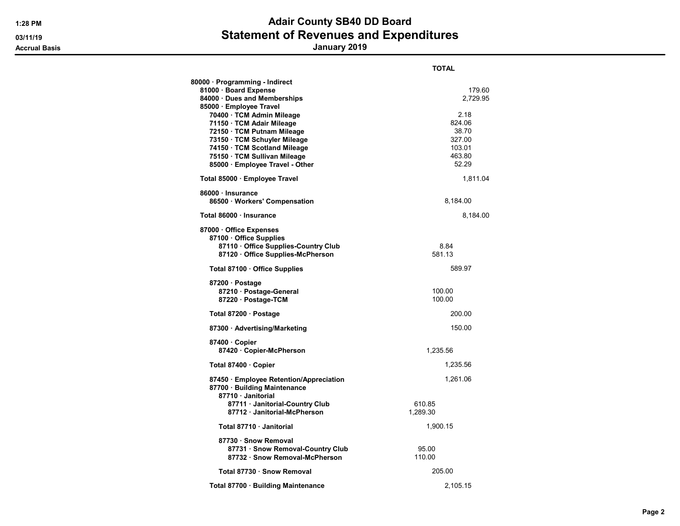|                                                                                                                                                                                                                       | TOTAL                                                          |
|-----------------------------------------------------------------------------------------------------------------------------------------------------------------------------------------------------------------------|----------------------------------------------------------------|
| 80000 · Programming - Indirect<br>81000 · Board Expense<br>84000 · Dues and Memberships<br>85000 · Employee Travel                                                                                                    | 179.60<br>2,729.95                                             |
| 70400 · TCM Admin Mileage<br>71150 · TCM Adair Mileage<br>72150 · TCM Putnam Mileage<br>73150 TCM Schuyler Mileage<br>74150 · TCM Scotland Mileage<br>75150 · TCM Sullivan Mileage<br>85000 · Employee Travel - Other | 2.18<br>824.06<br>38.70<br>327.00<br>103.01<br>463.80<br>52.29 |
| Total 85000 · Employee Travel                                                                                                                                                                                         | 1,811.04                                                       |
| 86000 · Insurance<br>86500 · Workers' Compensation                                                                                                                                                                    | 8,184.00                                                       |
| Total 86000 · Insurance                                                                                                                                                                                               | 8,184.00                                                       |
| 87000 · Office Expenses<br>87100 Office Supplies<br>87110 Office Supplies-Country Club<br>87120 Office Supplies-McPherson                                                                                             | 8.84<br>581.13                                                 |
| Total 87100 Office Supplies                                                                                                                                                                                           | 589.97                                                         |
| 87200 · Postage<br>87210 · Postage-General<br>87220 · Postage-TCM                                                                                                                                                     | 100.00<br>100.00                                               |
| Total 87200 · Postage                                                                                                                                                                                                 | 200.00                                                         |
| 87300 · Advertising/Marketing                                                                                                                                                                                         | 150.00                                                         |
| 87400 Copier<br>87420 · Copier-McPherson                                                                                                                                                                              | 1,235.56                                                       |
| Total 87400 · Copier                                                                                                                                                                                                  | 1,235.56                                                       |
| 87450 · Employee Retention/Appreciation<br>87700 · Building Maintenance<br>87710 Janitorial                                                                                                                           | 1,261.06                                                       |
| 87711 · Janitorial-Country Club<br>87712 Janitorial-McPherson                                                                                                                                                         | 610.85<br>1,289.30                                             |
| Total 87710 · Janitorial                                                                                                                                                                                              | 1,900.15                                                       |
| 87730 · Snow Removal<br>87731 · Snow Removal-Country Club<br>87732 · Snow Removal-McPherson                                                                                                                           | 95.00<br>110.00                                                |
| Total 87730 · Snow Removal                                                                                                                                                                                            | 205.00                                                         |
| Total 87700 · Building Maintenance                                                                                                                                                                                    | 2,105.15                                                       |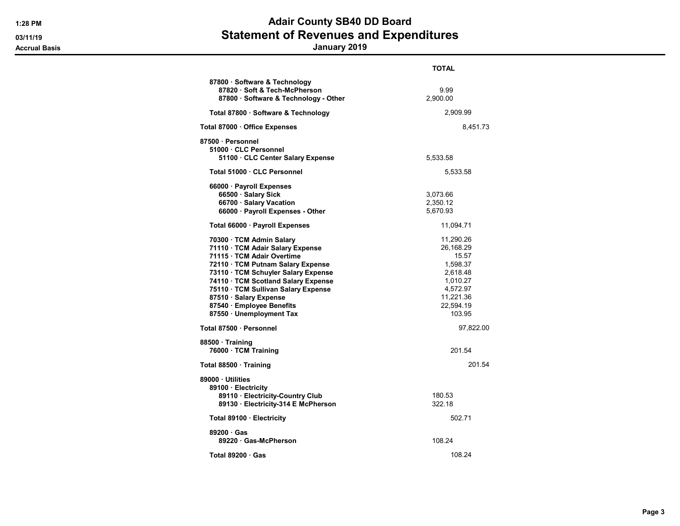|                                                                                                                                                                                                                                                                                                                                         | TOTAL                                                                                                               |
|-----------------------------------------------------------------------------------------------------------------------------------------------------------------------------------------------------------------------------------------------------------------------------------------------------------------------------------------|---------------------------------------------------------------------------------------------------------------------|
| 87800 · Software & Technology<br>87820 · Soft & Tech-McPherson<br>87800 · Software & Technology - Other                                                                                                                                                                                                                                 | 9.99<br>2,900.00                                                                                                    |
| Total 87800 · Software & Technology                                                                                                                                                                                                                                                                                                     | 2,909.99                                                                                                            |
| Total 87000 · Office Expenses                                                                                                                                                                                                                                                                                                           | 8,451.73                                                                                                            |
| 87500 · Personnel<br>51000 CLC Personnel<br>51100 · CLC Center Salary Expense                                                                                                                                                                                                                                                           | 5,533.58                                                                                                            |
| Total 51000 · CLC Personnel                                                                                                                                                                                                                                                                                                             | 5,533.58                                                                                                            |
| 66000 · Payroll Expenses<br>66500 · Salary Sick<br>66700 · Salary Vacation<br>66000 · Payroll Expenses - Other                                                                                                                                                                                                                          | 3,073.66<br>2,350.12<br>5,670.93                                                                                    |
| Total 66000 · Payroll Expenses                                                                                                                                                                                                                                                                                                          | 11,094.71                                                                                                           |
| 70300 · TCM Admin Salary<br>71110 · TCM Adair Salary Expense<br>71115 · TCM Adair Overtime<br>72110 · TCM Putnam Salary Expense<br>73110 · TCM Schuyler Salary Expense<br>74110 · TCM Scotland Salary Expense<br>75110 · TCM Sullivan Salary Expense<br>87510 · Salary Expense<br>87540 · Employee Benefits<br>87550 · Unemployment Tax | 11,290.26<br>26,168.29<br>15.57<br>1,598.37<br>2,618.48<br>1,010.27<br>4,572.97<br>11,221.36<br>22,594.19<br>103.95 |
| Total 87500 · Personnel                                                                                                                                                                                                                                                                                                                 | 97,822.00                                                                                                           |
| 88500 · Training<br>76000 · TCM Training                                                                                                                                                                                                                                                                                                | 201.54                                                                                                              |
| Total 88500 · Training                                                                                                                                                                                                                                                                                                                  | 201.54                                                                                                              |
| 89000 Utilities<br>89100 · Electricity<br>89110 · Electricity-Country Club<br>89130 · Electricity-314 E McPherson                                                                                                                                                                                                                       | 180.53<br>322.18                                                                                                    |
| Total 89100 · Electricity                                                                                                                                                                                                                                                                                                               | 502.71                                                                                                              |
| $89200 \cdot Gas$<br>89220 Gas-McPherson                                                                                                                                                                                                                                                                                                | 108.24                                                                                                              |
| Total $89200 \cdot Gas$                                                                                                                                                                                                                                                                                                                 | 108.24                                                                                                              |